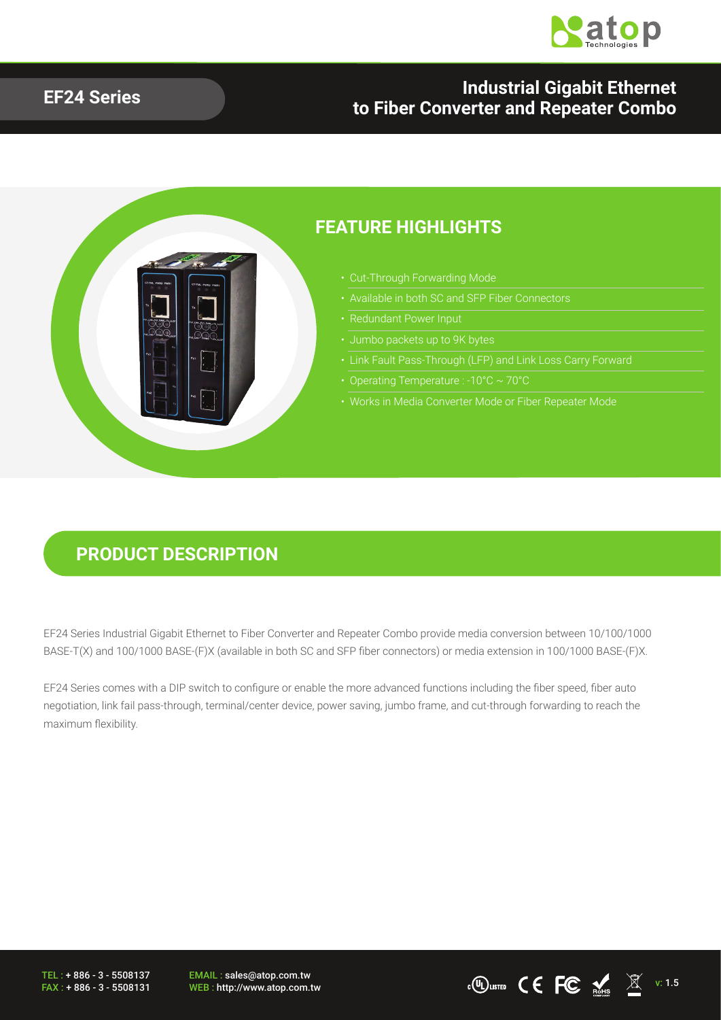

#### **EF24 Series Industrial Gigabit Ethernet to Fiber Converter and Repeater Combo**



#### **PRODUCT DESCRIPTION**

EF24 Series Industrial Gigabit Ethernet to Fiber Converter and Repeater Combo provide media conversion between 10/100/1000 BASE-T(X) and 100/1000 BASE-(F)X (available in both SC and SFP fiber connectors) or media extension in 100/1000 BASE-(F)X.

EF24 Series comes with a DIP switch to configure or enable the more advanced functions including the fiber speed, fiber auto negotiation, link fail pass-through, terminal/center device, power saving, jumbo frame, and cut-through forwarding to reach the maximum flexibility.

TEL : + 886 - 3 - 5508137 FAX : + 886 - 3 - 5508131 EMAIL : sales@atop.com.tw

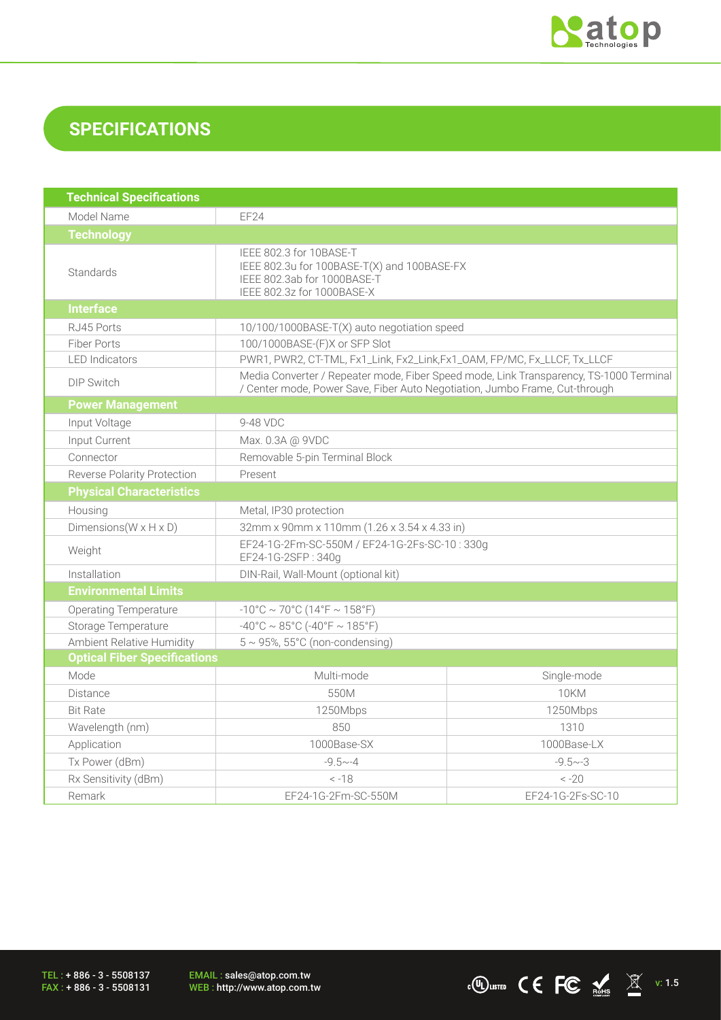

## **SPECIFICATIONS**

| <b>Technical Specifications</b>      |                                                                                                                                                                       |                   |  |  |
|--------------------------------------|-----------------------------------------------------------------------------------------------------------------------------------------------------------------------|-------------------|--|--|
| Model Name                           | EF24                                                                                                                                                                  |                   |  |  |
| <b>Technology</b>                    |                                                                                                                                                                       |                   |  |  |
| Standards                            | IEEE 802.3 for 10BASE-T<br>IEEE 802.3u for 100BASE-T(X) and 100BASE-FX<br>IEEE 802.3ab for 1000BASE-T<br>IEEE 802.3z for 1000BASE-X                                   |                   |  |  |
| <b>Interface</b>                     |                                                                                                                                                                       |                   |  |  |
| RJ45 Ports                           | 10/100/1000BASE-T(X) auto negotiation speed                                                                                                                           |                   |  |  |
| <b>Fiber Ports</b>                   | 100/1000BASE-(F)X or SFP Slot                                                                                                                                         |                   |  |  |
| <b>LED</b> Indicators                | PWR1, PWR2, CT-TML, Fx1_Link, Fx2_Link, Fx1_OAM, FP/MC, Fx_LLCF, Tx_LLCF                                                                                              |                   |  |  |
| <b>DIP Switch</b>                    | Media Converter / Repeater mode, Fiber Speed mode, Link Transparency, TS-1000 Terminal<br>/ Center mode, Power Save, Fiber Auto Negotiation, Jumbo Frame, Cut-through |                   |  |  |
| <b>Power Management</b>              |                                                                                                                                                                       |                   |  |  |
| Input Voltage                        | 9-48 VDC                                                                                                                                                              |                   |  |  |
| Input Current                        | Max. 0.3A @ 9VDC                                                                                                                                                      |                   |  |  |
| Connector                            | Removable 5-pin Terminal Block                                                                                                                                        |                   |  |  |
| Reverse Polarity Protection          | Present                                                                                                                                                               |                   |  |  |
| <b>Physical Characteristics</b>      |                                                                                                                                                                       |                   |  |  |
| Housing                              | Metal, IP30 protection                                                                                                                                                |                   |  |  |
| Dimensions ( $W \times H \times D$ ) | 32mm x 90mm x 110mm (1.26 x 3.54 x 4.33 in)                                                                                                                           |                   |  |  |
| Weight                               | EF24-1G-2Fm-SC-550M / EF24-1G-2Fs-SC-10:330g<br>EF24-1G-2SFP: 340g                                                                                                    |                   |  |  |
| Installation                         | DIN-Rail, Wall-Mount (optional kit)                                                                                                                                   |                   |  |  |
| <b>Environmental Limits</b>          |                                                                                                                                                                       |                   |  |  |
| <b>Operating Temperature</b>         | $-10^{\circ}$ C ~ 70°C (14°F ~ 158°F)                                                                                                                                 |                   |  |  |
| Storage Temperature                  | $-40^{\circ}$ C ~ 85°C (-40°F ~ 185°F)                                                                                                                                |                   |  |  |
| Ambient Relative Humidity            | $5 \sim 95$ %, $55^{\circ}$ C (non-condensing)                                                                                                                        |                   |  |  |
| <b>Optical Fiber Specifications</b>  |                                                                                                                                                                       |                   |  |  |
| Mode                                 | Multi-mode                                                                                                                                                            | Single-mode       |  |  |
| <b>Distance</b>                      | 550M                                                                                                                                                                  | 10KM              |  |  |
| <b>Bit Rate</b>                      | 1250Mbps                                                                                                                                                              | 1250Mbps          |  |  |
| Wavelength (nm)                      | 850                                                                                                                                                                   | 1310              |  |  |
| Application                          | 1000Base-SX                                                                                                                                                           | 1000Base-LX       |  |  |
| Tx Power (dBm)                       | $-9.5 - -4$                                                                                                                                                           | $-9.5 - 3$        |  |  |
| Rx Sensitivity (dBm)                 | $-18$                                                                                                                                                                 | $-20$             |  |  |
| Remark                               | EF24-1G-2Fm-SC-550M                                                                                                                                                   | EF24-1G-2Fs-SC-10 |  |  |

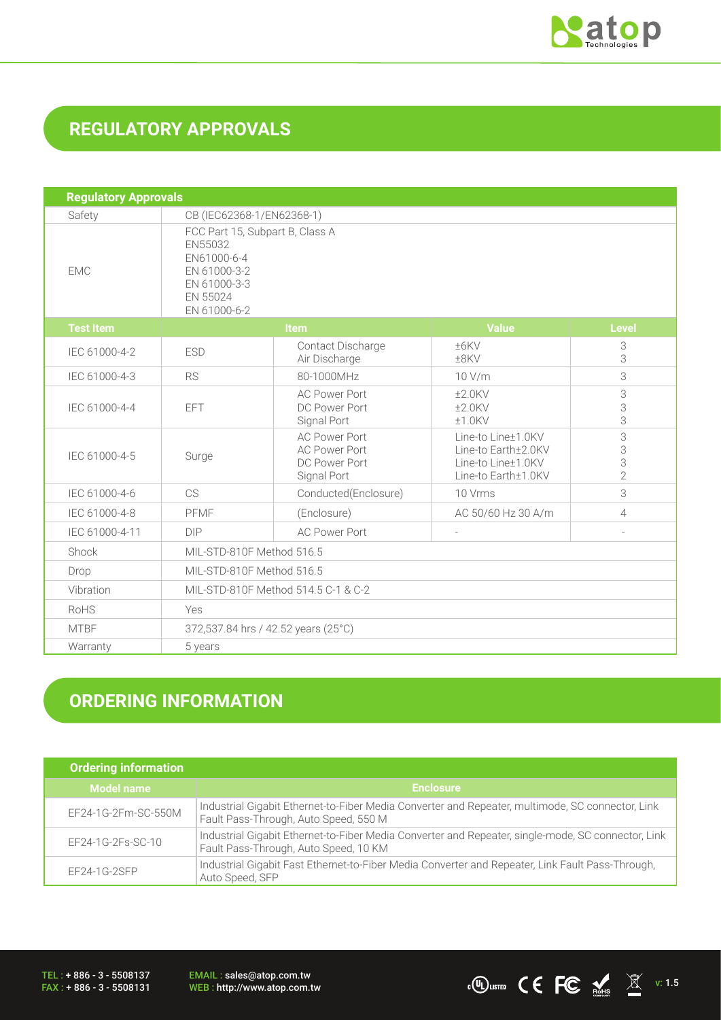

## **REGULATORY APPROVALS**

| <b>Regulatory Approvals</b> |                                                                                                                       |                                                                              |                                                                                        |                               |  |
|-----------------------------|-----------------------------------------------------------------------------------------------------------------------|------------------------------------------------------------------------------|----------------------------------------------------------------------------------------|-------------------------------|--|
| Safety                      | CB (IEC62368-1/EN62368-1)                                                                                             |                                                                              |                                                                                        |                               |  |
| <b>EMC</b>                  | FCC Part 15, Subpart B, Class A<br>EN55032<br>EN61000-6-4<br>EN 61000-3-2<br>EN 61000-3-3<br>EN 55024<br>EN 61000-6-2 |                                                                              |                                                                                        |                               |  |
| <b>Test Item</b>            |                                                                                                                       | <b>Item</b>                                                                  | <b>Value</b>                                                                           | <b>Level</b>                  |  |
| IEC 61000-4-2               | <b>ESD</b>                                                                                                            | Contact Discharge<br>Air Discharge                                           | ±6KV<br>$±8$ KV                                                                        | 3<br>3                        |  |
| IEC 61000-4-3               | <b>RS</b>                                                                                                             | 80-1000MHz                                                                   | 10 V/m                                                                                 | 3                             |  |
| IEC 61000-4-4               | <b>EFT</b>                                                                                                            | <b>AC Power Port</b><br>DC Power Port<br>Signal Port                         | $±2.0$ KV<br>$±2.0$ KV<br>$±1.0$ KV                                                    | 3<br>3<br>3                   |  |
| IEC 61000-4-5               | Surge                                                                                                                 | <b>AC Power Port</b><br><b>AC Power Port</b><br>DC Power Port<br>Signal Port | Line-to Line+1.0KV<br>Line-to Earth±2.0KV<br>Line-to Line±1.0KV<br>Line-to Earth±1.0KV | 3<br>3<br>3<br>$\overline{2}$ |  |
| IEC 61000-4-6               | CS                                                                                                                    | Conducted(Enclosure)                                                         | 10 Vrms                                                                                | 3                             |  |
| IEC 61000-4-8               | PFMF                                                                                                                  | (Enclosure)                                                                  | AC 50/60 Hz 30 A/m                                                                     | 4                             |  |
| IEC 61000-4-11              | <b>DIP</b>                                                                                                            | <b>AC Power Port</b>                                                         |                                                                                        |                               |  |
| Shock                       |                                                                                                                       | MIL-STD-810F Method 516.5                                                    |                                                                                        |                               |  |
| Drop                        |                                                                                                                       | MIL-STD-810F Method 516.5                                                    |                                                                                        |                               |  |
| Vibration                   |                                                                                                                       | MIL-STD-810F Method 514.5 C-1 & C-2                                          |                                                                                        |                               |  |
| RoHS                        | Yes                                                                                                                   |                                                                              |                                                                                        |                               |  |
| <b>MTBF</b>                 |                                                                                                                       | 372,537.84 hrs / 42.52 years (25°C)                                          |                                                                                        |                               |  |
| Warranty                    | 5 years                                                                                                               |                                                                              |                                                                                        |                               |  |

# **ORDERING INFORMATION**

| <b>Ordering information</b> |                                                                                                                                             |
|-----------------------------|---------------------------------------------------------------------------------------------------------------------------------------------|
| <b>Model name</b>           | <b>Enclosure</b>                                                                                                                            |
| EF24-1G-2Fm-SC-550M         | Industrial Gigabit Ethernet-to-Fiber Media Converter and Repeater, multimode, SC connector, Link<br>Fault Pass-Through, Auto Speed, 550 M   |
| EF24-1G-2Fs-SC-10           | Industrial Gigabit Ethernet-to-Fiber Media Converter and Repeater, single-mode, SC connector, Link<br>Fault Pass-Through, Auto Speed, 10 KM |
| $EF24-1G-2SFP$              | Industrial Gigabit Fast Ethernet-to-Fiber Media Converter and Repeater, Link Fault Pass-Through,<br>Auto Speed, SFP                         |

TEL : + 886 - 3 - 5508137 FAX : + 886 - 3 - 5508131 EMAIL : sales@atop.com.tw<br>WEB : http://www.atop.com.tw